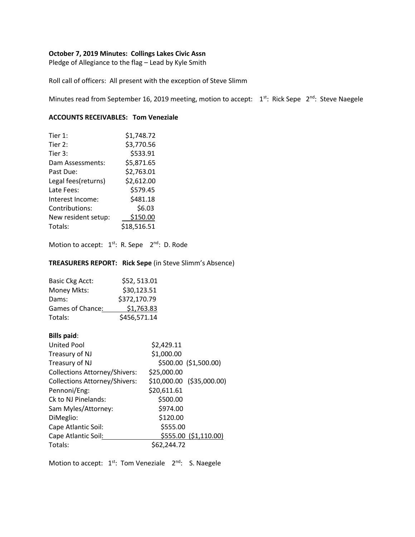# **October 7, 2019 Minutes: Collings Lakes Civic Assn**

Pledge of Allegiance to the flag – Lead by Kyle Smith

Roll call of officers: All present with the exception of Steve Slimm

Minutes read from September 16, 2019 meeting, motion to accept: 1<sup>st</sup>: Rick Sepe 2<sup>nd</sup>: Steve Naegele

## **ACCOUNTS RECEIVABLES: Tom Veneziale**

| Tier $1:$           | \$1,748.72  |
|---------------------|-------------|
| Tier 2:             | \$3,770.56  |
| Tier 3:             | \$533.91    |
| Dam Assessments:    | \$5,871.65  |
| Past Due:           | \$2,763.01  |
| Legal fees(returns) | \$2,612.00  |
| Late Fees:          | \$579.45    |
| Interest Income:    | \$481.18    |
| Contributions:      | \$6.03      |
| New resident setup: | \$150.00    |
| Totals:             | \$18,516.51 |

Motion to accept: 1<sup>st</sup>: R. Sepe 2<sup>nd</sup>: D. Rode

**TREASURERS REPORT: Rick Sepe** (in Steve Slimm's Absence)

| <b>Basic Ckg Acct:</b> | \$52,513.01  |
|------------------------|--------------|
| Money Mkts:            | \$30,123.51  |
| Dams:                  | \$372,170.79 |
| Games of Chance:       | \$1,763.83   |
| Totals:                | \$456,571.14 |

# **Bills paid**:

| <b>United Pool</b>                   | \$2,429.11                |
|--------------------------------------|---------------------------|
| Treasury of NJ                       | \$1,000.00                |
| Treasury of NJ                       | \$500.00 (\$1,500.00)     |
| <b>Collections Attorney/Shivers:</b> | \$25,000.00               |
| <b>Collections Attorney/Shivers:</b> | \$10,000.00 (\$35,000.00) |
| Pennoni/Eng:                         | \$20,611.61               |
| Ck to NJ Pinelands:                  | \$500.00                  |
| Sam Myles/Attorney:                  | \$974.00                  |
| DiMeglio:                            | \$120.00                  |
| Cape Atlantic Soil:                  | \$555.00                  |
| Cape Atlantic Soil:                  | \$555.00 (\$1,110.00)     |
| Totals:                              | \$62,244.72               |

Motion to accept: 1<sup>st</sup>: Tom Veneziale 2<sup>nd</sup>: S. Naegele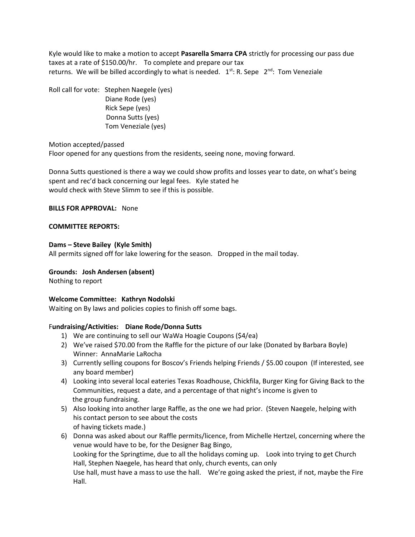Kyle would like to make a motion to accept **Pasarella Smarra CPA** strictly for processing our pass due taxes at a rate of \$150.00/hr. To complete and prepare our tax returns. We will be billed accordingly to what is needed.  $1^{st}$ : R. Sepe  $2^{nd}$ : Tom Veneziale

Roll call for vote: Stephen Naegele (yes) Diane Rode (yes) Rick Sepe (yes) Donna Sutts (yes) Tom Veneziale (yes)

# Motion accepted/passed

Floor opened for any questions from the residents, seeing none, moving forward.

Donna Sutts questioned is there a way we could show profits and losses year to date, on what's being spent and rec'd back concerning our legal fees. Kyle stated he would check with Steve Slimm to see if this is possible.

## **BILLS FOR APPROVAL:** None

## **COMMITTEE REPORTS:**

## **Dams – Steve Bailey (Kyle Smith)**

All permits signed off for lake lowering for the season. Dropped in the mail today.

# **Grounds: Josh Andersen (absent)**

Nothing to report

# **Welcome Committee: Kathryn Nodolski**

Waiting on By laws and policies copies to finish off some bags.

# F**undraising/Activities: Diane Rode/Donna Sutts**

- 1) We are continuing to sell our WaWa Hoagie Coupons (\$4/ea)
- 2) We've raised \$70.00 from the Raffle for the picture of our lake (Donated by Barbara Boyle) Winner: AnnaMarie LaRocha
- 3) Currently selling coupons for Boscov's Friends helping Friends / \$5.00 coupon (If interested, see any board member)
- 4) Looking into several local eateries Texas Roadhouse, Chickfila, Burger King for Giving Back to the Communities, request a date, and a percentage of that night's income is given to the group fundraising.
- 5) Also looking into another large Raffle, as the one we had prior. (Steven Naegele, helping with his contact person to see about the costs of having tickets made.)
- 6) Donna was asked about our Raffle permits/licence, from Michelle Hertzel, concerning where the venue would have to be, for the Designer Bag Bingo, Looking for the Springtime, due to all the holidays coming up. Look into trying to get Church Hall, Stephen Naegele, has heard that only, church events, can only Use hall, must have a mass to use the hall. We're going asked the priest, if not, maybe the Fire Hall.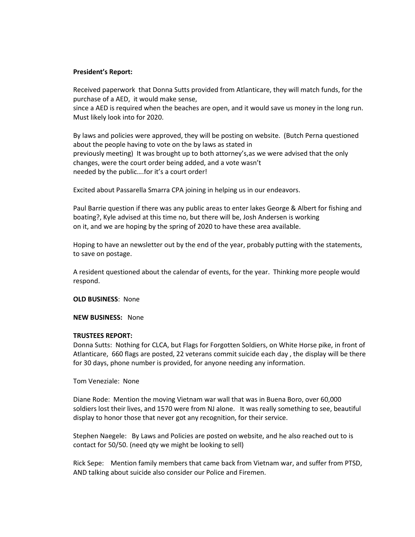#### **President's Report:**

Received paperwork that Donna Sutts provided from Atlanticare, they will match funds, for the purchase of a AED, it would make sense,

since a AED is required when the beaches are open, and it would save us money in the long run. Must likely look into for 2020.

By laws and policies were approved, they will be posting on website. (Butch Perna questioned about the people having to vote on the by laws as stated in previously meeting) It was brought up to both attorney's,as we were advised that the only changes, were the court order being added, and a vote wasn't needed by the public….for it's a court order!

Excited about Passarella Smarra CPA joining in helping us in our endeavors.

Paul Barrie question if there was any public areas to enter lakes George & Albert for fishing and boating?, Kyle advised at this time no, but there will be, Josh Andersen is working on it, and we are hoping by the spring of 2020 to have these area available.

Hoping to have an newsletter out by the end of the year, probably putting with the statements, to save on postage.

A resident questioned about the calendar of events, for the year. Thinking more people would respond.

**OLD BUSINESS**: None

#### **NEW BUSINESS:** None

#### **TRUSTEES REPORT:**

Donna Sutts: Nothing for CLCA, but Flags for Forgotten Soldiers, on White Horse pike, in front of Atlanticare, 660 flags are posted, 22 veterans commit suicide each day , the display will be there for 30 days, phone number is provided, for anyone needing any information.

Tom Veneziale: None

Diane Rode: Mention the moving Vietnam war wall that was in Buena Boro, over 60,000 soldiers lost their lives, and 1570 were from NJ alone. It was really something to see, beautiful display to honor those that never got any recognition, for their service.

Stephen Naegele: By Laws and Policies are posted on website, and he also reached out to is contact for 50/50. (need qty we might be looking to sell)

Rick Sepe: Mention family members that came back from Vietnam war, and suffer from PTSD, AND talking about suicide also consider our Police and Firemen.